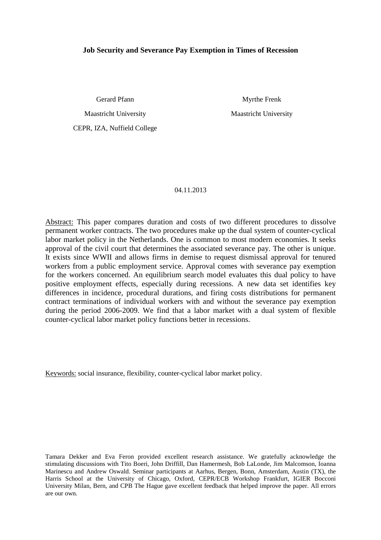# **Job Security and Severance Pay Exemption in Times of Recession**

Gerard Pfann

Myrthe Frenk

Maastricht University

CEPR, IZA, Nuffield College

Maastricht University

### 04.11.2013

Abstract: This paper compares duration and costs of two different procedures to dissolve permanent worker contracts. The two procedures make up the dual system of counter-cyclical labor market policy in the Netherlands. One is common to most modern economies. It seeks approval of the civil court that determines the associated severance pay. The other is unique. It exists since WWII and allows firms in demise to request dismissal approval for tenured workers from a public employment service. Approval comes with severance pay exemption for the workers concerned. An equilibrium search model evaluates this dual policy to have positive employment effects, especially during recessions. A new data set identifies key differences in incidence, procedural durations, and firing costs distributions for permanent contract terminations of individual workers with and without the severance pay exemption during the period 2006-2009. We find that a labor market with a dual system of flexible counter-cyclical labor market policy functions better in recessions.

Keywords: social insurance, flexibility, counter-cyclical labor market policy.

Tamara Dekker and Eva Feron provided excellent research assistance. We gratefully acknowledge the stimulating discussions with Tito Boeri, John Driffill, Dan Hamermesh, Bob LaLonde, Jim Malcomson, Ioanna Marinescu and Andrew Oswald. Seminar participants at Aarhus, Bergen, Bonn, Amsterdam, Austin (TX), the Harris School at the University of Chicago, Oxford, CEPR/ECB Workshop Frankfurt, IGIER Bocconi University Milan, Bern, and CPB The Hague gave excellent feedback that helped improve the paper. All errors are our own.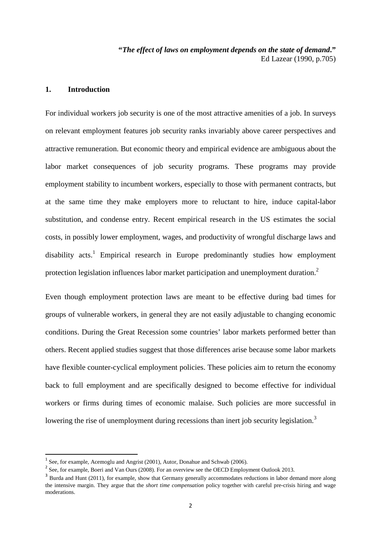**"***The effect of laws on employment depends on the state of demand***."**  Ed Lazear (1990, p.705)

# **1. Introduction**

For individual workers job security is one of the most attractive amenities of a job. In surveys on relevant employment features job security ranks invariably above career perspectives and attractive remuneration. But economic theory and empirical evidence are ambiguous about the labor market consequences of job security programs. These programs may provide employment stability to incumbent workers, especially to those with permanent contracts, but at the same time they make employers more to reluctant to hire, induce capital-labor substitution, and condense entry. Recent empirical research in the US estimates the social costs, in possibly lower employment, wages, and productivity of wrongful discharge laws and disability acts.<sup>1</sup> Empirical research in Europe predominantly studies how employment protection legislation influences labor market participation and unemployment duration.<sup>2</sup>

Even though employment protection laws are meant to be effective during bad times for groups of vulnerable workers, in general they are not easily adjustable to changing economic conditions. During the Great Recession some countries' labor markets performed better than others. Recent applied studies suggest that those differences arise because some labor markets have flexible counter-cyclical employment policies. These policies aim to return the economy back to full employment and are specifically designed to become effective for individual workers or firms during times of economic malaise. Such policies are more successful in lowering the rise of unemployment during recessions than inert job security legislation.<sup>3</sup>

 $<sup>1</sup>$  See, for example, Acemoglu and Angrist (2001), Autor, Donahue and Schwab (2006).</sup>

 $2^{2}$  See, for example, Boeri and Van Ours (2008). For an overview see the OECD Employment Outlook 2013.

<sup>&</sup>lt;sup>3</sup> Burda and Hunt (2011), for example, show that Germany generally accommodates reductions in labor demand more along the intensive margin. They argue that the *short time compensation* policy together with careful pre-crisis hiring and wage moderations.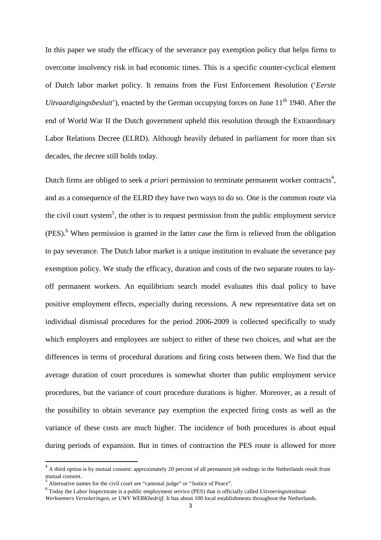In this paper we study the efficacy of the severance pay exemption policy that helps firms to overcome insolvency risk in bad economic times. This is a specific counter-cyclical element of Dutch labor market policy. It remains from the First Enforcement Resolution ('*Eerste Uitvaardigingsbesluit*'), enacted by the German occupying forces on June 11<sup>th</sup> 1940. After the end of World War II the Dutch government upheld this resolution through the Extraordinary Labor Relations Decree (ELRD). Although heavily debated in parliament for more than six decades, the decree still holds today.

Dutch firms are obliged to seek *a priori* permission to terminate permanent worker contracts<sup>4</sup>, and as a consequence of the ELRD they have two ways to do so. One is the common route via the civil court system<sup>5</sup>, the other is to request permission from the public employment service (PES).<sup>6</sup> When permission is granted in the latter case the firm is relieved from the obligation to pay severance. The Dutch labor market is a unique institution to evaluate the severance pay exemption policy. We study the efficacy, duration and costs of the two separate routes to layoff permanent workers. An equilibrium search model evaluates this dual policy to have positive employment effects, especially during recessions. A new representative data set on individual dismissal procedures for the period 2006-2009 is collected specifically to study which employers and employees are subject to either of these two choices, and what are the differences in terms of procedural durations and firing costs between them. We find that the average duration of court procedures is somewhat shorter than public employment service procedures, but the variance of court procedure durations is higher. Moreover, as a result of the possibility to obtain severance pay exemption the expected firing costs as well as the variance of these costs are much higher. The incidence of both procedures is about equal during periods of expansion. But in times of contraction the PES route is allowed for more

 $\overline{\phantom{a}}$ 

<sup>&</sup>lt;sup>4</sup> A third option is by mutual consent: approximately 20 percent of all permanent job endings in the Netherlands result from mutual consent.

<sup>&</sup>lt;sup>5</sup> Alternative names for the civil court are "cantonal judge" or "Justice of Peace".

<sup>6</sup> Today the Labor Inspectorate is a public employment service (PES) that is officially called *Uitvoeringsinstituut* 

*Werknemers Verzekeringen, or UWV WERKbedrijf*. It has about 100 local establishments throughout the Netherlands.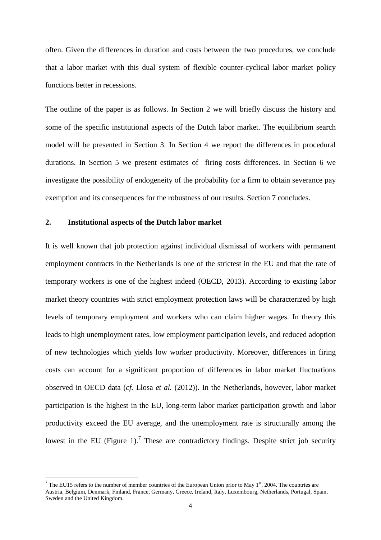often. Given the differences in duration and costs between the two procedures, we conclude that a labor market with this dual system of flexible counter-cyclical labor market policy functions better in recessions.

The outline of the paper is as follows. In Section 2 we will briefly discuss the history and some of the specific institutional aspects of the Dutch labor market. The equilibrium search model will be presented in Section 3. In Section 4 we report the differences in procedural durations. In Section 5 we present estimates of firing costs differences. In Section 6 we investigate the possibility of endogeneity of the probability for a firm to obtain severance pay exemption and its consequences for the robustness of our results. Section 7 concludes.

# **2. Institutional aspects of the Dutch labor market**

 $\overline{\phantom{a}}$ 

It is well known that job protection against individual dismissal of workers with permanent employment contracts in the Netherlands is one of the strictest in the EU and that the rate of temporary workers is one of the highest indeed (OECD, 2013). According to existing labor market theory countries with strict employment protection laws will be characterized by high levels of temporary employment and workers who can claim higher wages. In theory this leads to high unemployment rates, low employment participation levels, and reduced adoption of new technologies which yields low worker productivity. Moreover, differences in firing costs can account for a significant proportion of differences in labor market fluctuations observed in OECD data (*cf.* Llosa *et al.* (2012)). In the Netherlands, however, labor market participation is the highest in the EU, long-term labor market participation growth and labor productivity exceed the EU average, and the unemployment rate is structurally among the lowest in the EU (Figure 1).<sup>7</sup> These are contradictory findings. Despite strict job security

<sup>&</sup>lt;sup>7</sup> The EU15 refers to the number of member countries of the European Union prior to May 1<sup>st</sup>, 2004. The countries are Austria, Belgium, Denmark, Finland, France, Germany, Greece, Ireland, Italy, Luxembourg, Netherlands, Portugal, Spain, Sweden and the United Kingdom.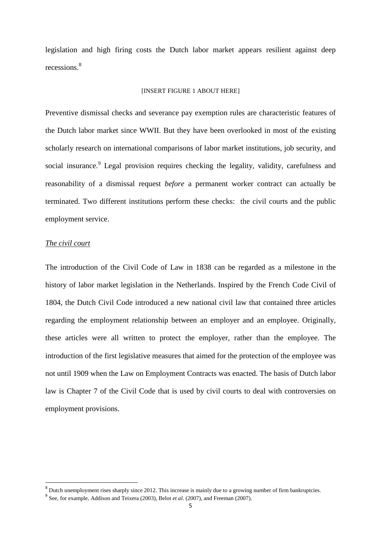legislation and high firing costs the Dutch labor market appears resilient against deep recessions.<sup>8</sup>

### [INSERT FIGURE 1 ABOUT HERE]

Preventive dismissal checks and severance pay exemption rules are characteristic features of the Dutch labor market since WWII. But they have been overlooked in most of the existing scholarly research on international comparisons of labor market institutions, job security, and social insurance.<sup>9</sup> Legal provision requires checking the legality, validity, carefulness and reasonability of a dismissal request *before* a permanent worker contract can actually be terminated. Two different institutions perform these checks: the civil courts and the public employment service.

### *The civil court*

l

The introduction of the Civil Code of Law in 1838 can be regarded as a milestone in the history of labor market legislation in the Netherlands. Inspired by the French Code Civil of 1804, the Dutch Civil Code introduced a new national civil law that contained three articles regarding the employment relationship between an employer and an employee. Originally, these articles were all written to protect the employer, rather than the employee. The introduction of the first legislative measures that aimed for the protection of the employee was not until 1909 when the Law on Employment Contracts was enacted. The basis of Dutch labor law is Chapter 7 of the Civil Code that is used by civil courts to deal with controversies on employment provisions.

 $8$  Dutch unemployment rises sharply since 2012. This increase is mainly due to a growing number of firm bankruptcies.

<sup>&</sup>lt;sup>9</sup> See, for example, Addison and Teixera (2003), Belot *et al.* (2007), and Freeman (2007).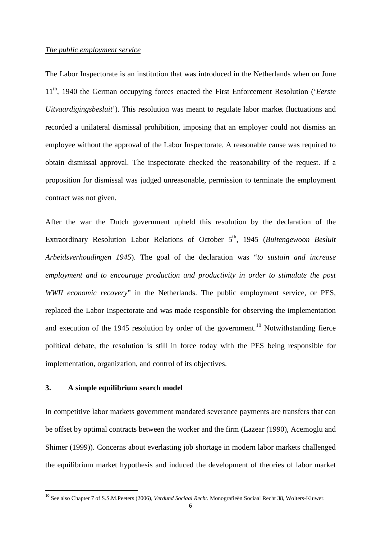### *The public employment service*

The Labor Inspectorate is an institution that was introduced in the Netherlands when on June 11th, 1940 the German occupying forces enacted the First Enforcement Resolution ('*Eerste Uitvaardigingsbesluit*'). This resolution was meant to regulate labor market fluctuations and recorded a unilateral dismissal prohibition, imposing that an employer could not dismiss an employee without the approval of the Labor Inspectorate. A reasonable cause was required to obtain dismissal approval. The inspectorate checked the reasonability of the request. If a proposition for dismissal was judged unreasonable, permission to terminate the employment contract was not given.

After the war the Dutch government upheld this resolution by the declaration of the Extraordinary Resolution Labor Relations of October 5<sup>th</sup>, 1945 (*Buitengewoon Besluit*) *Arbeidsverhoudingen 1945*). The goal of the declaration was "*to sustain and increase employment and to encourage production and productivity in order to stimulate the post WWII economic recovery*" in the Netherlands. The public employment service, or PES, replaced the Labor Inspectorate and was made responsible for observing the implementation and execution of the 1945 resolution by order of the government.<sup>10</sup> Notwithstanding fierce political debate, the resolution is still in force today with the PES being responsible for implementation, organization, and control of its objectives.

#### **3. A simple equilibrium search model**

 $\overline{\phantom{a}}$ 

In competitive labor markets government mandated severance payments are transfers that can be offset by optimal contracts between the worker and the firm (Lazear (1990), Acemoglu and Shimer (1999)). Concerns about everlasting job shortage in modern labor markets challenged the equilibrium market hypothesis and induced the development of theories of labor market

<sup>10</sup> See also Chapter 7 of S.S.M.Peeters (2006), *Verdund Sociaal Recht*. Monografieën Sociaal Recht 38, Wolters-Kluwer.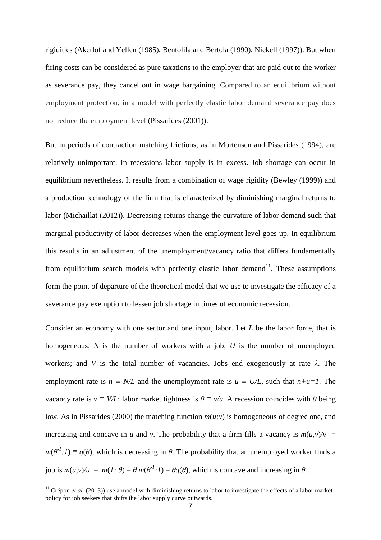rigidities (Akerlof and Yellen (1985), Bentolila and Bertola (1990), Nickell (1997)). But when firing costs can be considered as pure taxations to the employer that are paid out to the worker as severance pay, they cancel out in wage bargaining. Compared to an equilibrium without employment protection, in a model with perfectly elastic labor demand severance pay does not reduce the employment level (Pissarides (2001)).

But in periods of contraction matching frictions, as in Mortensen and Pissarides (1994), are relatively unimportant. In recessions labor supply is in excess. Job shortage can occur in equilibrium nevertheless. It results from a combination of wage rigidity (Bewley (1999)) and a production technology of the firm that is characterized by diminishing marginal returns to labor (Michaillat (2012)). Decreasing returns change the curvature of labor demand such that marginal productivity of labor decreases when the employment level goes up. In equilibrium this results in an adjustment of the unemployment/vacancy ratio that differs fundamentally from equilibrium search models with perfectly elastic labor demand<sup>11</sup>. These assumptions form the point of departure of the theoretical model that we use to investigate the efficacy of a severance pay exemption to lessen job shortage in times of economic recession.

Consider an economy with one sector and one input, labor. Let *L* be the labor force, that is homogeneous; *N* is the number of workers with a job; *U* is the number of unemployed workers; and *V* is the total number of vacancies. Jobs end exogenously at rate *λ*. The employment rate is  $n \equiv N/L$  and the unemployment rate is  $u \equiv U/L$ , such that  $n+u=1$ . The vacancy rate is  $v \equiv V/L$ ; labor market tightness is  $\theta \equiv v/u$ . A recession coincides with  $\theta$  being low. As in Pissarides (2000) the matching function *m*(*u;v*) is homogeneous of degree one, and increasing and concave in *u* and *v*. The probability that a firm fills a vacancy is  $m(u, v)/v =$  $m(\theta^1;1) \equiv q(\theta)$ , which is decreasing in  $\theta$ . The probability that an unemployed worker finds a job is  $m(u, v)/u = m(1; \theta) = \theta m(\theta^T; 1) = \theta q(\theta)$ , which is concave and increasing in  $\theta$ .

l

<sup>&</sup>lt;sup>11</sup> Crépon *et al.* (2013)) use a model with diminishing returns to labor to investigate the effects of a labor market policy for job seekers that shifts the labor supply curve outwards.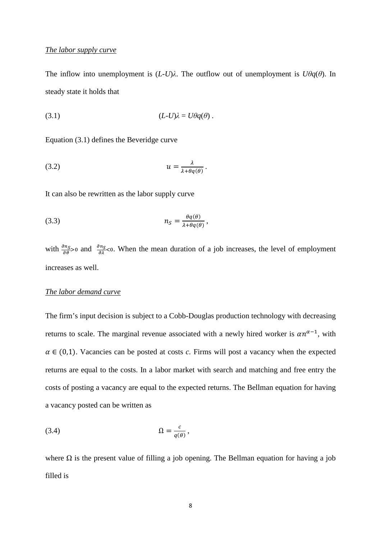# *The labor supply curve*

The inflow into unemployment is  $(L-U)\lambda$ . The outflow out of unemployment is  $U\theta q(\theta)$ . In steady state it holds that

$$
(3.1) \t(L-U)\lambda = U\theta q(\theta) .
$$

Equation (3.1) defines the Beveridge curve

$$
(3.2) \t\t\t u = \frac{\lambda}{\lambda + \theta q(\theta)}.
$$

It can also be rewritten as the labor supply curve

$$
(3.3) \t\t n_S = \frac{\theta q(\theta)}{\lambda + \theta q(\theta)},
$$

with  $\frac{\partial n_S}{\partial \theta} > 0$  and  $\frac{\partial n_S}{\partial \lambda} < 0$ . When the mean duration of a job increases, the level of employment increases as well.

# *The labor demand curve*

The firm's input decision is subject to a Cobb-Douglas production technology with decreasing returns to scale. The marginal revenue associated with a newly hired worker is  $\alpha n^{\alpha-1}$ , with  $\alpha \in (0,1)$ . Vacancies can be posted at costs *c*. Firms will post a vacancy when the expected returns are equal to the costs. In a labor market with search and matching and free entry the costs of posting a vacancy are equal to the expected returns. The Bellman equation for having a vacancy posted can be written as

$$
(3.4) \t\t\t\t\t\Omega = \frac{c}{q(\theta)},
$$

where  $\Omega$  is the present value of filling a job opening. The Bellman equation for having a job filled is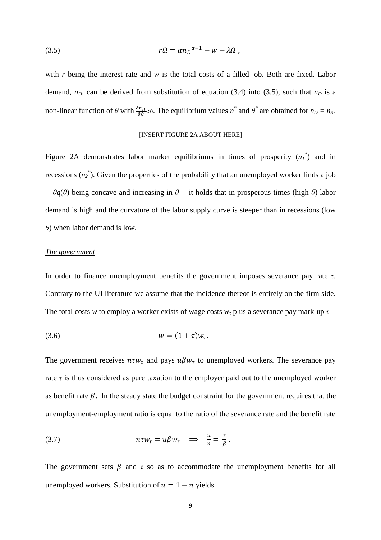$$
r\Omega = \alpha n_D^{\alpha - 1} - w - \lambda \Omega ,
$$

with *r* being the interest rate and *w* is the total costs of a filled job. Both are fixed. Labor demand,  $n_D$ , can be derived from substitution of equation (3.4) into (3.5), such that  $n_D$  is a non-linear function of  $\theta$  with  $\frac{\partial n_D}{\partial \theta}$  < 0. The equilibrium values  $n^*$  and  $\theta^*$  are obtained for  $n_D = n_S$ .

#### [INSERT FIGURE 2A ABOUT HERE]

Figure 2A demonstrates labor market equilibriums in times of prosperity  $(n_1)^*$  and in recessions  $(n_2^*)$ . Given the properties of the probability that an unemployed worker finds a job -- *θq*(*θ*) being concave and increasing in *θ* -- it holds that in prosperous times (high *θ*) labor demand is high and the curvature of the labor supply curve is steeper than in recessions (low *θ*) when labor demand is low.

#### *The government*

In order to finance unemployment benefits the government imposes severance pay rate *τ*. Contrary to the UI literature we assume that the incidence thereof is entirely on the firm side. The total costs *w* to employ a worker exists of wage costs  $w<sub>\tau</sub>$  plus a severance pay mark-up  $\tau$ 

$$
(3.6) \t\t\t w = (1+\tau)w_{\tau}.
$$

The government receives  $n\tau w_{\tau}$  and pays  $u\beta w_{\tau}$  to unemployed workers. The severance pay rate  $\tau$  is thus considered as pure taxation to the employer paid out to the unemployed worker as benefit rate  $\beta$ . In the steady state the budget constraint for the government requires that the unemployment-employment ratio is equal to the ratio of the severance rate and the benefit rate

(3.7) 
$$
n \tau w_{\tau} = u \beta w_{\tau} \implies \frac{u}{n} = \frac{\tau}{\beta}.
$$

The government sets  $\beta$  and  $\tau$  so as to accommodate the unemployment benefits for all unemployed workers. Substitution of  $u = 1 - n$  yields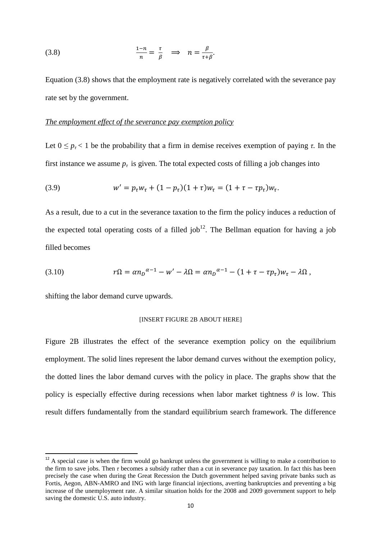(3.8) 
$$
\frac{1-n}{n} = \frac{\tau}{\beta} \implies n = \frac{\beta}{\tau + \beta}.
$$

Equation (3.8) shows that the employment rate is negatively correlated with the severance pay rate set by the government.

### *The employment effect of the severance pay exemption policy*

Let  $0 \leq p_{\tau} \leq 1$  be the probability that a firm in demise receives exemption of paying  $\tau$ . In the first instance we assume  $p<sub>\tau</sub>$  is given. The total expected costs of filling a job changes into

(3.9) 
$$
w' = p_{\tau}w_{\tau} + (1 - p_{\tau})(1 + \tau)w_{\tau} = (1 + \tau - \tau p_{\tau})w_{\tau}.
$$

As a result, due to a cut in the severance taxation to the firm the policy induces a reduction of the expected total operating costs of a filled job<sup>12</sup>. The Bellman equation for having a job filled becomes

(3.10) 
$$
r\Omega = \alpha n_D^{\alpha-1} - w' - \lambda \Omega = \alpha n_D^{\alpha-1} - (1 + \tau - \tau p_\tau) w_\tau - \lambda \Omega,
$$

shifting the labor demand curve upwards.

 $\overline{\phantom{a}}$ 

### [INSERT FIGURE 2B ABOUT HERE]

Figure 2B illustrates the effect of the severance exemption policy on the equilibrium employment. The solid lines represent the labor demand curves without the exemption policy, the dotted lines the labor demand curves with the policy in place. The graphs show that the policy is especially effective during recessions when labor market tightness  $\theta$  is low. This result differs fundamentally from the standard equilibrium search framework. The difference

 $12$  A special case is when the firm would go bankrupt unless the government is willing to make a contribution to the firm to save jobs. Then *τ* becomes a subsidy rather than a cut in severance pay taxation. In fact this has been precisely the case when during the Great Recession the Dutch government helped saving private banks such as Fortis, Aegon, ABN-AMRO and ING with large financial injections, averting bankruptcies and preventing a big increase of the unemployment rate. A similar situation holds for the 2008 and 2009 government support to help saving the domestic U.S. auto industry.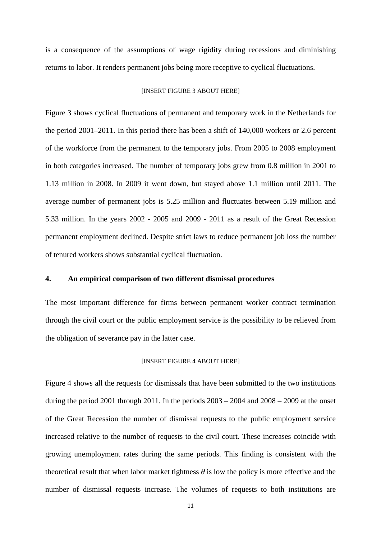is a consequence of the assumptions of wage rigidity during recessions and diminishing returns to labor. It renders permanent jobs being more receptive to cyclical fluctuations.

### [INSERT FIGURE 3 ABOUT HERE]

Figure 3 shows cyclical fluctuations of permanent and temporary work in the Netherlands for the period 2001–2011. In this period there has been a shift of 140,000 workers or 2.6 percent of the workforce from the permanent to the temporary jobs. From 2005 to 2008 employment in both categories increased. The number of temporary jobs grew from 0.8 million in 2001 to 1.13 million in 2008. In 2009 it went down, but stayed above 1.1 million until 2011. The average number of permanent jobs is 5.25 million and fluctuates between 5.19 million and 5.33 million. In the years 2002 - 2005 and 2009 - 2011 as a result of the Great Recession permanent employment declined. Despite strict laws to reduce permanent job loss the number of tenured workers shows substantial cyclical fluctuation.

### **4. An empirical comparison of two different dismissal procedures**

The most important difference for firms between permanent worker contract termination through the civil court or the public employment service is the possibility to be relieved from the obligation of severance pay in the latter case.

#### [INSERT FIGURE 4 ABOUT HERE]

Figure 4 shows all the requests for dismissals that have been submitted to the two institutions during the period 2001 through 2011. In the periods  $2003 - 2004$  and  $2008 - 2009$  at the onset of the Great Recession the number of dismissal requests to the public employment service increased relative to the number of requests to the civil court. These increases coincide with growing unemployment rates during the same periods. This finding is consistent with the theoretical result that when labor market tightness  $\theta$  is low the policy is more effective and the number of dismissal requests increase. The volumes of requests to both institutions are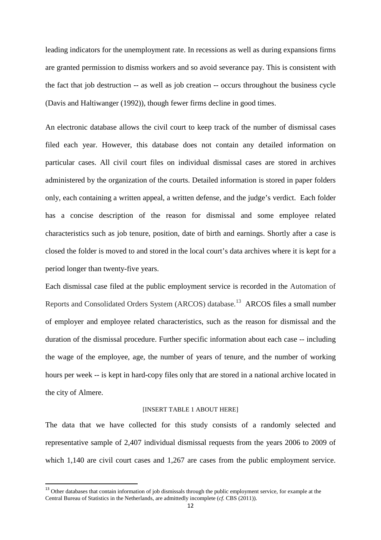leading indicators for the unemployment rate. In recessions as well as during expansions firms are granted permission to dismiss workers and so avoid severance pay. This is consistent with the fact that job destruction -- as well as job creation -- occurs throughout the business cycle (Davis and Haltiwanger (1992)), though fewer firms decline in good times.

An electronic database allows the civil court to keep track of the number of dismissal cases filed each year. However, this database does not contain any detailed information on particular cases. All civil court files on individual dismissal cases are stored in archives administered by the organization of the courts. Detailed information is stored in paper folders only, each containing a written appeal, a written defense, and the judge's verdict. Each folder has a concise description of the reason for dismissal and some employee related characteristics such as job tenure, position, date of birth and earnings. Shortly after a case is closed the folder is moved to and stored in the local court's data archives where it is kept for a period longer than twenty-five years.

Each dismissal case filed at the public employment service is recorded in the Automation of Reports and Consolidated Orders System (ARCOS) database.<sup>13</sup> ARCOS files a small number of employer and employee related characteristics, such as the reason for dismissal and the duration of the dismissal procedure. Further specific information about each case -- including the wage of the employee, age, the number of years of tenure, and the number of working hours per week -- is kept in hard-copy files only that are stored in a national archive located in the city of Almere.

#### [INSERT TABLE 1 ABOUT HERE]

The data that we have collected for this study consists of a randomly selected and representative sample of 2,407 individual dismissal requests from the years 2006 to 2009 of which 1,140 are civil court cases and 1,267 are cases from the public employment service.

l

<sup>&</sup>lt;sup>13</sup> Other databases that contain information of job dismissals through the public employment service, for example at the Central Bureau of Statistics in the Netherlands, are admittedly incomplete (*cf.* CBS (2011)).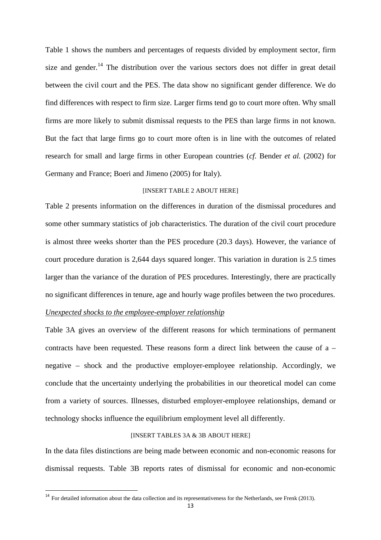Table 1 shows the numbers and percentages of requests divided by employment sector, firm size and gender.<sup>14</sup> The distribution over the various sectors does not differ in great detail between the civil court and the PES. The data show no significant gender difference. We do find differences with respect to firm size. Larger firms tend go to court more often. Why small firms are more likely to submit dismissal requests to the PES than large firms in not known. But the fact that large firms go to court more often is in line with the outcomes of related research for small and large firms in other European countries (*cf.* Bender *et al.* (2002) for Germany and France; Boeri and Jimeno (2005) for Italy).

#### [INSERT TABLE 2 ABOUT HERE]

Table 2 presents information on the differences in duration of the dismissal procedures and some other summary statistics of job characteristics. The duration of the civil court procedure is almost three weeks shorter than the PES procedure (20.3 days). However, the variance of court procedure duration is 2,644 days squared longer. This variation in duration is 2.5 times larger than the variance of the duration of PES procedures. Interestingly, there are practically no significant differences in tenure, age and hourly wage profiles between the two procedures.

# *Unexpected shocks to the employee-employer relationship*

 $\overline{\phantom{a}}$ 

Table 3A gives an overview of the different reasons for which terminations of permanent contracts have been requested. These reasons form a direct link between the cause of a – negative – shock and the productive employer-employee relationship. Accordingly, we conclude that the uncertainty underlying the probabilities in our theoretical model can come from a variety of sources. Illnesses, disturbed employer-employee relationships, demand or technology shocks influence the equilibrium employment level all differently.

### [INSERT TABLES 3A & 3B ABOUT HERE]

In the data files distinctions are being made between economic and non-economic reasons for dismissal requests. Table 3B reports rates of dismissal for economic and non-economic

 $14$  For detailed information about the data collection and its representativeness for the Netherlands, see Frenk (2013).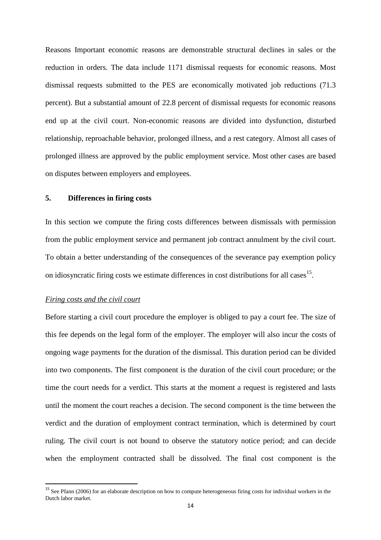Reasons Important economic reasons are demonstrable structural declines in sales or the reduction in orders. The data include 1171 dismissal requests for economic reasons. Most dismissal requests submitted to the PES are economically motivated job reductions (71.3 percent). But a substantial amount of 22.8 percent of dismissal requests for economic reasons end up at the civil court. Non-economic reasons are divided into dysfunction, disturbed relationship, reproachable behavior, prolonged illness, and a rest category. Almost all cases of prolonged illness are approved by the public employment service. Most other cases are based on disputes between employers and employees.

# **5. Differences in firing costs**

In this section we compute the firing costs differences between dismissals with permission from the public employment service and permanent job contract annulment by the civil court. To obtain a better understanding of the consequences of the severance pay exemption policy on idiosyncratic firing costs we estimate differences in cost distributions for all cases<sup>15</sup>.

### *Firing costs and the civil court*

l

Before starting a civil court procedure the employer is obliged to pay a court fee. The size of this fee depends on the legal form of the employer. The employer will also incur the costs of ongoing wage payments for the duration of the dismissal. This duration period can be divided into two components. The first component is the duration of the civil court procedure; or the time the court needs for a verdict. This starts at the moment a request is registered and lasts until the moment the court reaches a decision. The second component is the time between the verdict and the duration of employment contract termination, which is determined by court ruling. The civil court is not bound to observe the statutory notice period; and can decide when the employment contracted shall be dissolved. The final cost component is the

<sup>&</sup>lt;sup>15</sup> See Pfann (2006) for an elaborate description on how to compute heterogeneous firing costs for individual workers in the Dutch labor market.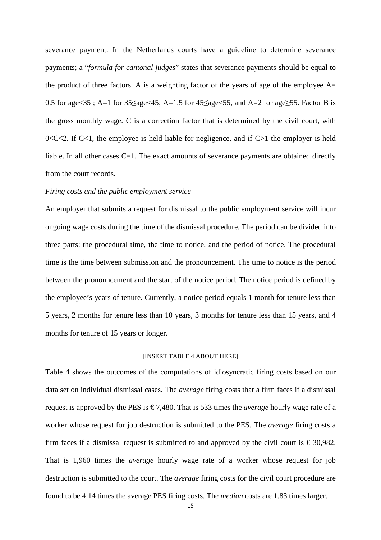severance payment. In the Netherlands courts have a guideline to determine severance payments; a "*formula for cantonal judges*" states that severance payments should be equal to the product of three factors. A is a weighting factor of the years of age of the employee  $A=$ 0.5 for age<35; A=1 for  $35\leq$ age $<45$ ; A=1.5 for  $45\leq$ age $<55$ , and A=2 for age $\geq$ 55. Factor B is the gross monthly wage. C is a correction factor that is determined by the civil court, with 0≤C≤2. If C<1, the employee is held liable for negligence, and if C>1 the employer is held liable. In all other cases C=1. The exact amounts of severance payments are obtained directly from the court records.

### *Firing costs and the public employment service*

An employer that submits a request for dismissal to the public employment service will incur ongoing wage costs during the time of the dismissal procedure. The period can be divided into three parts: the procedural time, the time to notice, and the period of notice. The procedural time is the time between submission and the pronouncement. The time to notice is the period between the pronouncement and the start of the notice period. The notice period is defined by the employee's years of tenure. Currently, a notice period equals 1 month for tenure less than 5 years, 2 months for tenure less than 10 years, 3 months for tenure less than 15 years, and 4 months for tenure of 15 years or longer.

### [INSERT TABLE 4 ABOUT HERE]

Table 4 shows the outcomes of the computations of idiosyncratic firing costs based on our data set on individual dismissal cases. The *average* firing costs that a firm faces if a dismissal request is approved by the PES is  $\epsilon$  7,480. That is 533 times the *average* hourly wage rate of a worker whose request for job destruction is submitted to the PES. The *average* firing costs a firm faces if a dismissal request is submitted to and approved by the civil court is  $\epsilon$  30,982. That is 1,960 times the *average* hourly wage rate of a worker whose request for job destruction is submitted to the court. The *average* firing costs for the civil court procedure are found to be 4.14 times the average PES firing costs. The *median* costs are 1.83 times larger.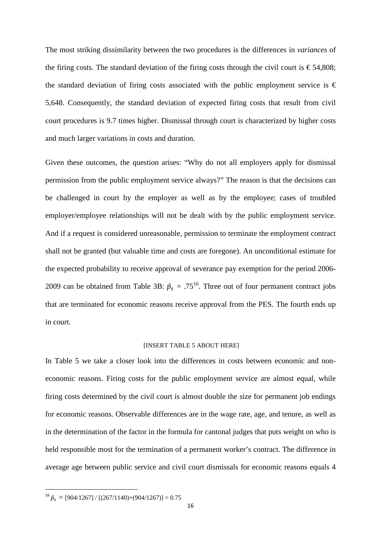The most striking dissimilarity between the two procedures is the differences in *variances* of the firing costs. The standard deviation of the firing costs through the civil court is  $\epsilon$  54,808; the standard deviation of firing costs associated with the public employment service is  $\epsilon$ 5,648. Consequently, the standard deviation of expected firing costs that result from civil court procedures is 9.7 times higher. Dismissal through court is characterized by higher costs and much larger variations in costs and duration.

Given these outcomes, the question arises: "Why do not all employers apply for dismissal permission from the public employment service always?" The reason is that the decisions can be challenged in court by the employer as well as by the employee; cases of troubled employer/employee relationships will not be dealt with by the public employment service. And if a request is considered unreasonable, permission to terminate the employment contract shall not be granted (but valuable time and costs are foregone). An unconditional estimate for the expected probability to receive approval of severance pay exemption for the period 2006- 2009 can be obtained from Table 3B:  $\hat{p}_{\tau} = .75^{16}$ . Three out of four permanent contract jobs that are terminated for economic reasons receive approval from the PES. The fourth ends up in court.

#### [INSERT TABLE 5 ABOUT HERE]

In Table 5 we take a closer look into the differences in costs between economic and noneconomic reasons. Firing costs for the public employment service are almost equal, while firing costs determined by the civil court is almost double the size for permanent job endings for economic reasons. Observable differences are in the wage rate, age, and tenure, as well as in the determination of the factor in the formula for cantonal judges that puts weight on who is held responsible most for the termination of a permanent worker's contract. The difference in average age between public service and civil court dismissals for economic reasons equals 4

l

<sup>&</sup>lt;sup>16</sup>  $\hat{p}_{\tau} = [904/1267] / [(267/1140) + (904/1267)] = 0.75$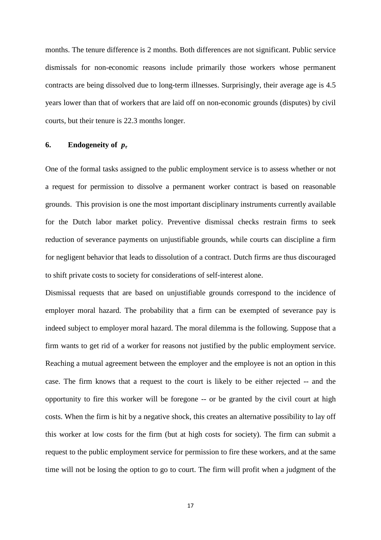months. The tenure difference is 2 months. Both differences are not significant. Public service dismissals for non-economic reasons include primarily those workers whose permanent contracts are being dissolved due to long-term illnesses. Surprisingly, their average age is 4.5 years lower than that of workers that are laid off on non-economic grounds (disputes) by civil courts, but their tenure is 22.3 months longer.

### **6.** Endogeneity of  $p_\tau$

One of the formal tasks assigned to the public employment service is to assess whether or not a request for permission to dissolve a permanent worker contract is based on reasonable grounds. This provision is one the most important disciplinary instruments currently available for the Dutch labor market policy. Preventive dismissal checks restrain firms to seek reduction of severance payments on unjustifiable grounds, while courts can discipline a firm for negligent behavior that leads to dissolution of a contract. Dutch firms are thus discouraged to shift private costs to society for considerations of self-interest alone.

Dismissal requests that are based on unjustifiable grounds correspond to the incidence of employer moral hazard. The probability that a firm can be exempted of severance pay is indeed subject to employer moral hazard. The moral dilemma is the following. Suppose that a firm wants to get rid of a worker for reasons not justified by the public employment service. Reaching a mutual agreement between the employer and the employee is not an option in this case. The firm knows that a request to the court is likely to be either rejected -- and the opportunity to fire this worker will be foregone -- or be granted by the civil court at high costs. When the firm is hit by a negative shock, this creates an alternative possibility to lay off this worker at low costs for the firm (but at high costs for society). The firm can submit a request to the public employment service for permission to fire these workers, and at the same time will not be losing the option to go to court. The firm will profit when a judgment of the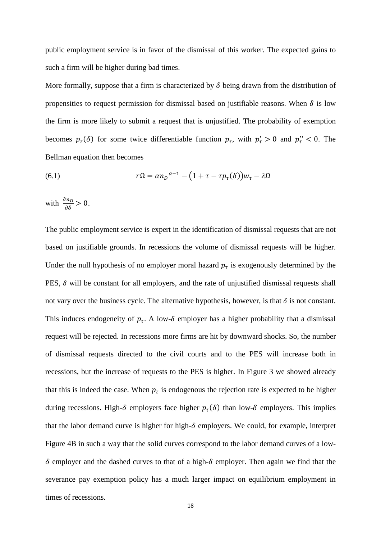public employment service is in favor of the dismissal of this worker. The expected gains to such a firm will be higher during bad times.

More formally, suppose that a firm is characterized by  $\delta$  being drawn from the distribution of propensities to request permission for dismissal based on justifiable reasons. When  $\delta$  is low the firm is more likely to submit a request that is unjustified. The probability of exemption becomes  $p_\tau(\delta)$  for some twice differentiable function  $p_\tau$ , with  $p'_\tau > 0$  and  $p''_\tau < 0$ . The Bellman equation then becomes

(6.1) 
$$
r\Omega = \alpha n_D^{\alpha - 1} - \left(1 + \tau - \tau p_\tau(\delta)\right) w_\tau - \lambda \Omega
$$

with  $\frac{\partial n_D}{\partial \delta} > 0$ .

The public employment service is expert in the identification of dismissal requests that are not based on justifiable grounds. In recessions the volume of dismissal requests will be higher. Under the null hypothesis of no employer moral hazard  $p_{\tau}$  is exogenously determined by the PES,  $\delta$  will be constant for all employers, and the rate of unjustified dismissal requests shall not vary over the business cycle. The alternative hypothesis, however, is that  $\delta$  is not constant. This induces endogeneity of  $p_{\tau}$ . A low- $\delta$  employer has a higher probability that a dismissal request will be rejected. In recessions more firms are hit by downward shocks. So, the number of dismissal requests directed to the civil courts and to the PES will increase both in recessions, but the increase of requests to the PES is higher. In Figure 3 we showed already that this is indeed the case. When  $p_{\tau}$  is endogenous the rejection rate is expected to be higher during recessions. High- $\delta$  employers face higher  $p_{\tau}(\delta)$  than low- $\delta$  employers. This implies that the labor demand curve is higher for high- $\delta$  employers. We could, for example, interpret Figure 4B in such a way that the solid curves correspond to the labor demand curves of a low- $\delta$  employer and the dashed curves to that of a high- $\delta$  employer. Then again we find that the severance pay exemption policy has a much larger impact on equilibrium employment in times of recessions.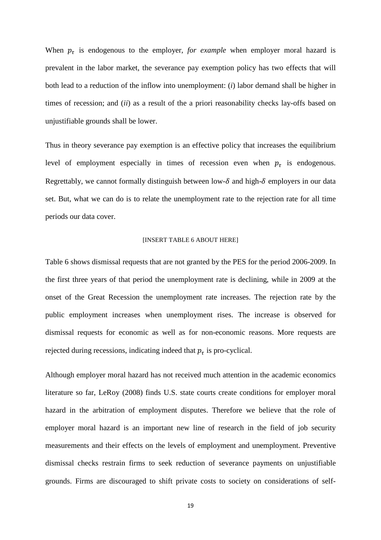When  $p_{\tau}$  is endogenous to the employer, *for example* when employer moral hazard is prevalent in the labor market, the severance pay exemption policy has two effects that will both lead to a reduction of the inflow into unemployment: (*i*) labor demand shall be higher in times of recession; and (*ii*) as a result of the a priori reasonability checks lay-offs based on unjustifiable grounds shall be lower.

Thus in theory severance pay exemption is an effective policy that increases the equilibrium level of employment especially in times of recession even when  $p_{\tau}$  is endogenous. Regrettably, we cannot formally distinguish between low- $\delta$  and high- $\delta$  employers in our data set. But, what we can do is to relate the unemployment rate to the rejection rate for all time periods our data cover.

#### [INSERT TABLE 6 ABOUT HERE]

Table 6 shows dismissal requests that are not granted by the PES for the period 2006-2009. In the first three years of that period the unemployment rate is declining, while in 2009 at the onset of the Great Recession the unemployment rate increases. The rejection rate by the public employment increases when unemployment rises. The increase is observed for dismissal requests for economic as well as for non-economic reasons. More requests are rejected during recessions, indicating indeed that  $p_{\tau}$  is pro-cyclical.

Although employer moral hazard has not received much attention in the academic economics literature so far, LeRoy (2008) finds U.S. state courts create conditions for employer moral hazard in the arbitration of employment disputes. Therefore we believe that the role of employer moral hazard is an important new line of research in the field of job security measurements and their effects on the levels of employment and unemployment. Preventive dismissal checks restrain firms to seek reduction of severance payments on unjustifiable grounds. Firms are discouraged to shift private costs to society on considerations of self-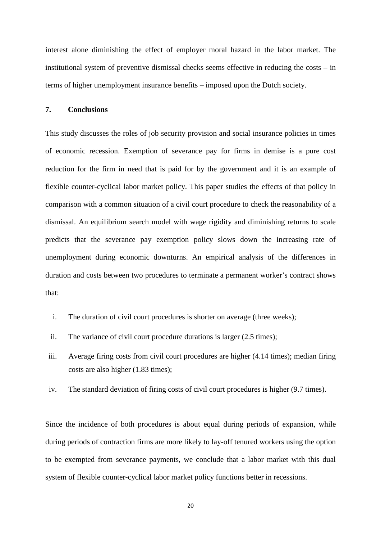interest alone diminishing the effect of employer moral hazard in the labor market. The institutional system of preventive dismissal checks seems effective in reducing the costs – in terms of higher unemployment insurance benefits – imposed upon the Dutch society.

# **7. Conclusions**

This study discusses the roles of job security provision and social insurance policies in times of economic recession. Exemption of severance pay for firms in demise is a pure cost reduction for the firm in need that is paid for by the government and it is an example of flexible counter-cyclical labor market policy. This paper studies the effects of that policy in comparison with a common situation of a civil court procedure to check the reasonability of a dismissal. An equilibrium search model with wage rigidity and diminishing returns to scale predicts that the severance pay exemption policy slows down the increasing rate of unemployment during economic downturns. An empirical analysis of the differences in duration and costs between two procedures to terminate a permanent worker's contract shows that:

- i. The duration of civil court procedures is shorter on average (three weeks);
- ii. The variance of civil court procedure durations is larger (2.5 times);
- iii. Average firing costs from civil court procedures are higher (4.14 times); median firing costs are also higher (1.83 times);
- iv. The standard deviation of firing costs of civil court procedures is higher (9.7 times).

Since the incidence of both procedures is about equal during periods of expansion, while during periods of contraction firms are more likely to lay-off tenured workers using the option to be exempted from severance payments, we conclude that a labor market with this dual system of flexible counter-cyclical labor market policy functions better in recessions.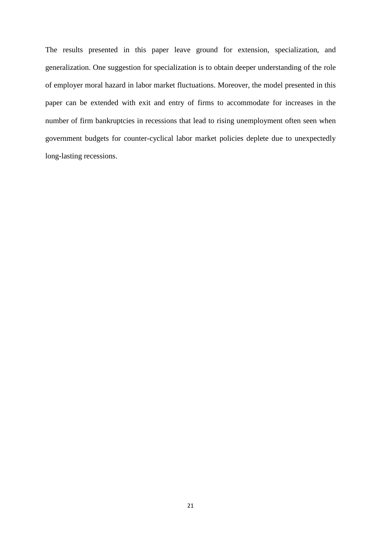The results presented in this paper leave ground for extension, specialization, and generalization. One suggestion for specialization is to obtain deeper understanding of the role of employer moral hazard in labor market fluctuations. Moreover, the model presented in this paper can be extended with exit and entry of firms to accommodate for increases in the number of firm bankruptcies in recessions that lead to rising unemployment often seen when government budgets for counter-cyclical labor market policies deplete due to unexpectedly long-lasting recessions.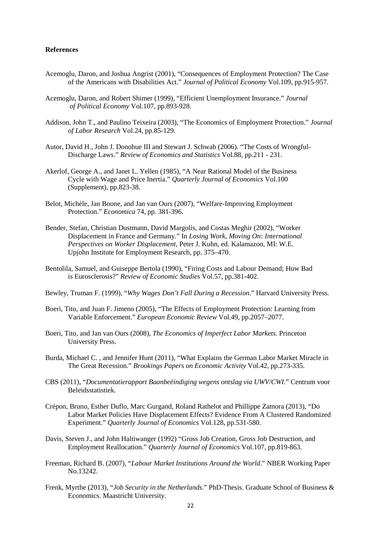#### **References**

- Acemoglu, Daron, and Joshua Angrist (2001), "Consequences of Employment Protection? The Case of the Americans with Disabilities Act." *Journal of Political Economy* Vol.109, pp.915-957.
- Acemoglu, Daron, and Robert Shimer (1999), "Efficient Unemployment Insurance." *Journal of Political Economy* Vol.107, pp.893-928.
- Addison, John T., and Paulino Teixeira (2003), "The Economics of Employment Protection." *Journal of Labor Research* Vol.24, pp.85-129.
- Autor, David H., John J. Donohue III and Stewart J. Schwab (2006). "The Costs of Wrongful- Discharge Laws." *Review of Economics and Statistics* Vol.88, pp.211 - 231.
- Akerlof, George A., and Janet L. Yellen (1985), "A Near Rational Model of the Business Cycle with Wage and Price Inertia." *Quarterly Journal of Economics* Vol.100 (Supplement), pp.823-38.
- Belot, Michèle, Jan Boone, and Jan van Ours (2007), "Welfare-Improving Employment Protection." *Economica* 74, pp. 381-396.
- Bender, Stefan, Christian Dustmann, David Margolis, and Costas Meghir (2002), "Worker Displacement in France and Germany." In *Losing Work, Moving On: International Perspectives on Worker Displacement*, Peter J. Kuhn, ed. Kalamazoo, MI: W.E. Upjohn Institute for Employment Research, pp. 375–470.
- Bentolila, Samuel, and Guiseppe Bertola (1990), "Firing Costs and Labour Demand; How Bad is Eurosclerosis?" *Review of Economic Studies* Vol.57, pp.381-402.
- Bewley, Truman F. (1999), "*Why Wages Don't Fall During a Recession*." Harvard University Press.
- Boeri, Tito, and Juan F. Jimeno (2005), "The Effects of Employment Protection: Learning from Variable Enforcement." *European Economic Review* Vol.49, pp.2057–2077.
- Boeri, Tito, and Jan van Ours (2008), *The Economics of Imperfect Labor Markets.* Princeton University Press.
- Burda, Michael C. , and Jennifer Hunt (2011), "What Explains the German Labor Market Miracle in The Great Recession." *Brookings Papers on Economic Activity* Vol.42, pp.273-335.
- CBS (2011), "*Documentatierapport Baanbeëindiging wegens ontslag via UWV/CWI*." Centrum voor Beleidsstatistiek.
- Crépon, Bruno, Esther Duflo, Marc Gurgand, Roland Rathelot and Phillippe Zamora (2013), "Do Labor Market Policies Have Displacement Effects? Evidence From A Clustered Randomized Experiment." *Quarterly Journal of Economics* Vol.128, pp.531-580.
- Davis, Steven J., and John Haltiwanger (1992) "Gross Job Creation, Gross Job Destruction, and Employment Reallocation." *Quarterly Journal of Economics* Vol.107, pp.819-863.
- Freeman, Richard B. (2007), "*Labour Market Institutions Around the World*." NBER Working Paper No.13242.
- Frenk, Myrthe (2013), "*Job Security in the Netherlands*." PhD-Thesis. Graduate School of Business & Economics. Maastricht University.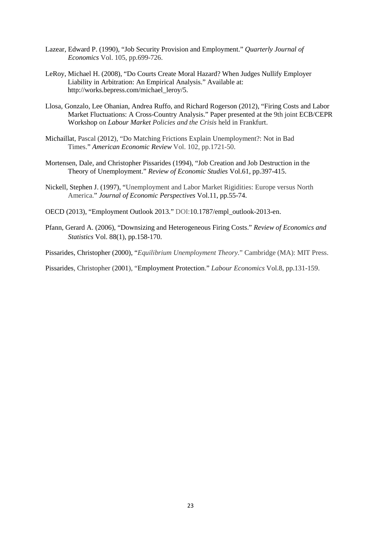- Lazear, Edward P. (1990), "Job Security Provision and Employment." *Quarterly Journal of Economics* Vol. 105, pp.699-726.
- LeRoy, Michael H. (2008), "Do Courts Create Moral Hazard? When Judges Nullify Employer Liability in Arbitration: An Empirical Analysis." Available at: http://works.bepress.com/michael\_leroy/5.
- Llosa, Gonzalo, Lee Ohanian, Andrea Ruffo, and Richard Rogerson (2012), "Firing Costs and Labor Market Fluctuations: A Cross-Country Analysis." Paper presented at the 9th joint ECB/CEPR Workshop on *Labour Market Policies and the Crisis* held in Frankfurt.
- Michaillat, Pascal (2012), "Do Matching Frictions Explain Unemployment?: Not in Bad Times." *American Economic Review* Vol. 102, pp.1721-50.
- Mortensen, Dale, and Christopher Pissarides (1994), "Job Creation and Job Destruction in the Theory of Unemployment." *Review of Economic Studies* Vol.61, pp.397-415.
- Nickell, Stephen J. (1997), "Unemployment and Labor Market Rigidities: Europe versus North America." *Journal of Economic Perspectives* Vol.11, pp.55-74.
- OECD (2013), "Employment Outlook 2013." DOI:10.1787/empl\_outlook-2013-en.
- Pfann, Gerard A. (2006), "Downsizing and Heterogeneous Firing Costs." *Review of Economics and Statistics* Vol. 88(1), pp.158-170.

Pissarides, Christopher (2000), "*Equilibrium Unemployment Theory*." Cambridge (MA): MIT Press.

Pissarides, Christopher (2001), "Employment Protection." *Labour Economics* Vol.8, pp.131-159.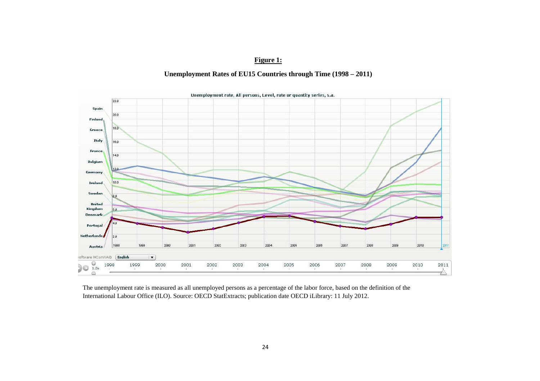# **Figure 1:**

# **Unemployment Rates of EU15 Countries through Time (1998 – 2011)**



The unemployment rate is measured as all unemployed persons as a percentage of the labor force, based on the definition of the International Labour Office (ILO). Source: OECD StatExtracts; publication date OECD iLibrary: 11 July 2012.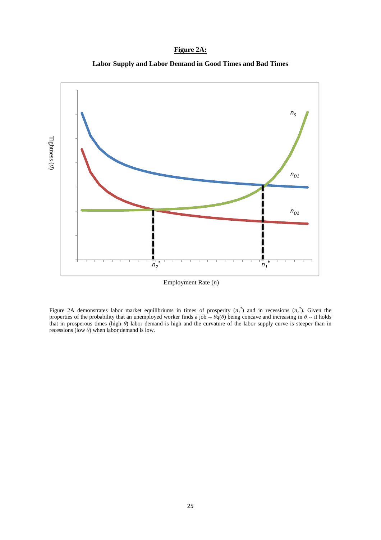# **Figure 2A:**





Employment Rate (*n*)

Figure 2A demonstrates labor market equilibriums in times of prosperity  $(n_1^*)$  and in recessions  $(n_2^*)$ . Given the properties of the probability that an unemployed worker finds a job  $-\theta q(\theta)$  being concave and increasing in  $\theta$  -- it holds that in prosperous times (high *θ*) labor demand is high and the curvature of the labor supply curve is steeper than in recessions (low  $\theta$ ) when labor demand is low.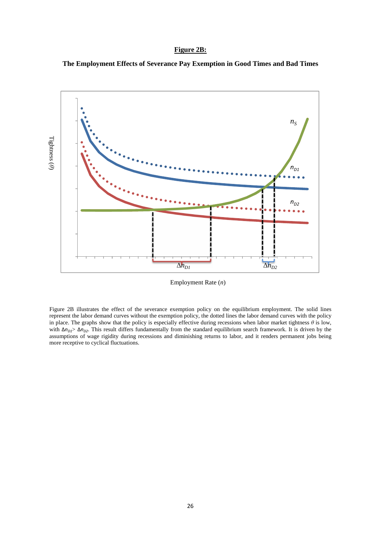# **Figure 2B:**





Employment Rate (*n*)

Figure 2B illustrates the effect of the severance exemption policy on the equilibrium employment. The solid lines represent the labor demand curves without the exemption policy, the dotted lines the labor demand curves with the policy in place. The graphs show that the policy is especially effective during recessions when labor market tightness *θ* is low, with Δ $n_{D1}$   $\geq$  Δ $n_{D2}$ . This result differs fundamentally from the standard equilibrium search framework. It is driven by the assumptions of wage rigidity during recessions and diminishing returns to labor, and it renders permanent jobs being more receptive to cyclical fluctuations.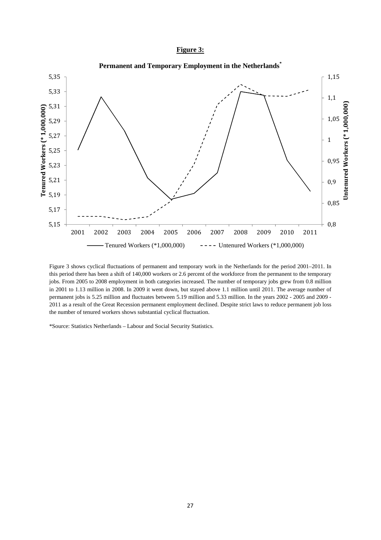### **Figure 3:**



 Figure 3 shows cyclical fluctuations of permanent and temporary work in the Netherlands for the period 2001–2011. In this period there has been a shift of 140,000 workers or 2.6 percent of the workforce from the permanent to the temporary jobs. From 2005 to 2008 employment in both categories increased. The number of temporary jobs grew from 0.8 million in 2001 to 1.13 million in 2008. In 2009 it went down, but stayed above 1.1 million until 2011. The average number of permanent jobs is 5.25 million and fluctuates between 5.19 million and 5.33 million. In the years 2002 - 2005 and 2009 - 2011 as a result of the Great Recession permanent employment declined. Despite strict laws to reduce permanent job loss the number of tenured workers shows substantial cyclical fluctuation.

\*Source: Statistics Netherlands – Labour and Social Security Statistics.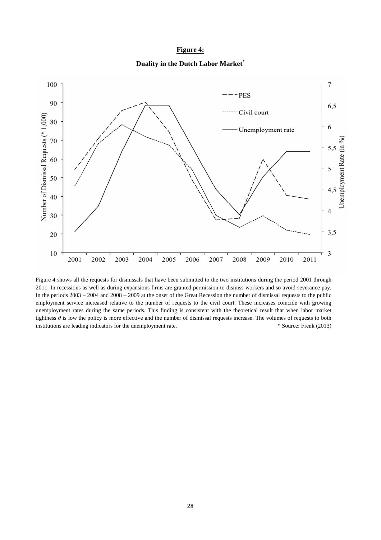### **Figure 4:**

**Duality in the Dutch Labor Market\***



Figure 4 shows all the requests for dismissals that have been submitted to the two institutions during the period 2001 through 2011. In recessions as well as during expansions firms are granted permission to dismiss workers and so avoid severance pay. In the periods 2003 – 2004 and 2008 – 2009 at the onset of the Great Recession the number of dismissal requests to the public employment service increased relative to the number of requests to the civil court. These increases coincide with growing unemployment rates during the same periods. This finding is consistent with the theoretical result that when labor market tightness *θ* is low the policy is more effective and the number of dismissal requests increase. The volumes of requests to both institutions are leading indicators for the unemployment rate.\* Source: Frenk (2013)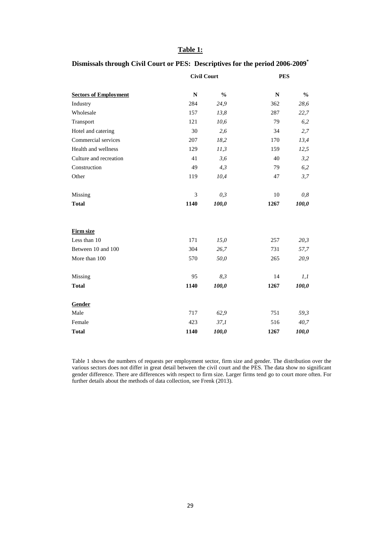# **Table 1:**

# **Dismissals through Civil Court or PES: Descriptives for the period 2006-2009\***

|                              | <b>Civil Court</b> |               | <b>PES</b>  |               |
|------------------------------|--------------------|---------------|-------------|---------------|
| <b>Sectors of Employment</b> | $\mathbf N$        | $\frac{0}{0}$ | $\mathbf N$ | $\frac{0}{0}$ |
| Industry                     | 284                | 24,9          | 362         | 28,6          |
| Wholesale                    | 157                | 13,8          | 287         | 22,7          |
| Transport                    | 121                | 10,6          | 79          | 6,2           |
| Hotel and catering           | 30                 | 2,6           | 34          | 2,7           |
| Commercial services          | 207                | 18,2          | 170         | 13,4          |
| Health and wellness          | 129                | 11,3          | 159         | 12,5          |
| Culture and recreation       | 41                 | 3,6           | 40          | 3,2           |
| Construction                 | 49                 | 4,3           | 79          | 6,2           |
| Other                        | 119                | 10,4          | 47          | 3,7           |
| Missing                      | 3                  | 0,3           | 10          | 0,8           |
| <b>Total</b>                 | 1140               | 100,0         | 1267        | 100,0         |
| Firm size                    |                    |               |             |               |
| Less than 10                 | 171                | 15,0          | 257         | 20,3          |
| Between 10 and 100           | 304                | 26,7          | 731         | 57,7          |
| More than 100                | 570                | 50,0          | 265         | 20,9          |
| Missing                      | 95                 | 8,3           | 14          | 1,1           |
| <b>Total</b>                 | 1140               | 100,0         | 1267        | 100,0         |
| Gender                       |                    |               |             |               |
| Male                         | 717                | 62,9          | 751         | 59,3          |
| Female                       | 423                | 37,1          | 516         | 40,7          |
| <b>Total</b>                 | 1140               | 100,0         | 1267        | 100,0         |

Table 1 shows the numbers of requests per employment sector, firm size and gender. The distribution over the various sectors does not differ in great detail between the civil court and the PES. The data show no significant gender difference. There are differences with respect to firm size. Larger firms tend go to court more often. For further details about the methods of data collection, see Frenk (2013).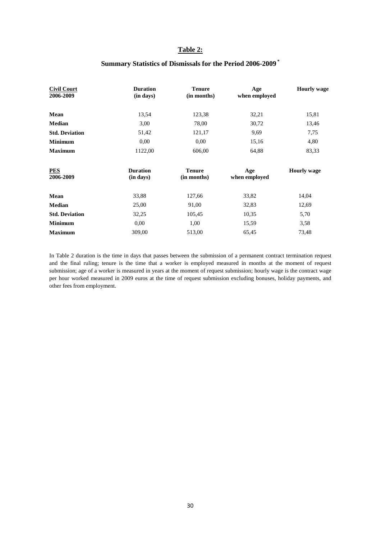# **Table 2:**

# **Summary Statistics of Dismissals for the Period 2006-2009 \***

| <b>Civil Court</b><br>2006-2009 | <b>Duration</b><br>(in days) | <b>Tenure</b><br>(in months) | Age<br>when employed | <b>Hourly wage</b> |
|---------------------------------|------------------------------|------------------------------|----------------------|--------------------|
| Mean                            | 13,54                        | 123,38                       | 32,21                | 15,81              |
| <b>Median</b>                   | 3,00                         | 78,00                        | 30,72                | 13,46              |
| <b>Std. Deviation</b>           | 51,42                        | 121,17                       | 9,69                 | 7,75               |
| <b>Minimum</b>                  | 0,00                         | 0,00                         | 15,16                | 4,80               |
| <b>Maximum</b>                  | 1122,00                      | 606,00                       | 64,88                | 83,33              |
| <b>PES</b><br>2006-2009         | <b>Duration</b><br>(in days) | <b>Tenure</b><br>(in months) | Age<br>when employed | <b>Hourly</b> wage |
| Mean                            | 33,88                        | 127,66                       | 33,82                | 14,04              |
| <b>Median</b>                   | 25,00                        | 91,00                        | 32,83                | 12,69              |
| <b>Std. Deviation</b>           | 32,25                        | 105,45                       | 10,35                | 5,70               |
| <b>Minimum</b>                  | 0.00                         | 1,00                         | 15,59                | 3,58               |
| <b>Maximum</b>                  | 309,00                       | 513,00                       | 65,45                | 73,48              |

In Table 2 duration is the time in days that passes between the submission of a permanent contract termination request and the final ruling; tenure is the time that a worker is employed measured in months at the moment of request submission; age of a worker is measured in years at the moment of request submission; hourly wage is the contract wage per hour worked measured in 2009 euros at the time of request submission excluding bonuses, holiday payments, and other fees from employment.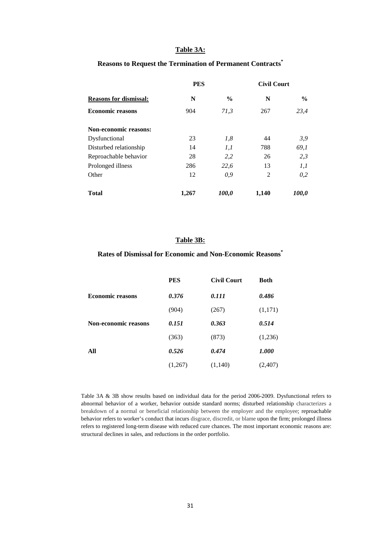### **Table 3A:**

### **Reasons to Request the Termination of Permanent Contracts\***

|                               | <b>PES</b> |               | <b>Civil Court</b> |               |
|-------------------------------|------------|---------------|--------------------|---------------|
| <b>Reasons for dismissal:</b> | N          | $\frac{6}{9}$ | N                  | $\frac{0}{0}$ |
| <b>Economic reasons</b>       | 904        | 71,3          | 267                | 23,4          |
| <b>Non-economic reasons:</b>  |            |               |                    |               |
| Dysfunctional                 | 23         | 1,8           | 44                 | 3,9           |
| Disturbed relationship        | 14         | 1,1           | 788                | 69,1          |
| Reproachable behavior         | 28         | 2,2           | 26                 | 2,3           |
| Prolonged illness             | 286        | 22,6          | 13                 | 1,1           |
| Other                         | 12         | 0,9           | 2                  | 0,2           |
| <b>Total</b>                  | 1,267      | <i>100,0</i>  | 1,140              | 100,0         |

### **Table 3B:**

#### **Rates of Dismissal for Economic and Non-Economic Reasons\***

|                             | <b>PES</b> | <b>Civil Court</b> | <b>Both</b> |
|-----------------------------|------------|--------------------|-------------|
| <b>Economic reasons</b>     | 0.376      | 0.111              | 0.486       |
|                             | (904)      | (267)              | (1,171)     |
| <b>Non-economic reasons</b> | 0.151      | 0.363              | 0.514       |
|                             | (363)      | (873)              | (1,236)     |
| All                         | 0.526      | 0.474              | 1.000       |
|                             | (1,267)    | (1,140)            | (2,407)     |

Table 3A & 3B show results based on individual data for the period 2006-2009. Dysfunctional refers to abnormal behavior of a worker, behavior outside standard norms; disturbed relationship characterizes a breakdown of a normal or beneficial relationship between the employer and the employee; reproachable behavior refers to worker's conduct that incurs disgrace, discredit, or blame upon the firm; prolonged illness refers to registered long-term disease with reduced cure chances. The most important economic reasons are: structural declines in sales, and reductions in the order portfolio.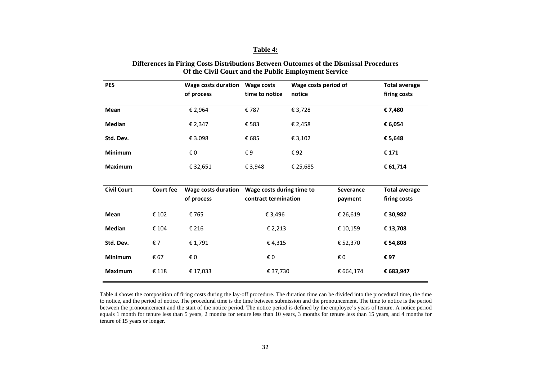### **Table 4:**

| <b>PES</b>         |                  | Wage costs duration<br>of process | Wage costs<br>time to notice | Wage costs period of<br>notice |                  | <b>Total average</b><br>firing costs |
|--------------------|------------------|-----------------------------------|------------------------------|--------------------------------|------------------|--------------------------------------|
| Mean               |                  | € 2,964                           | €787                         | € 3,728                        |                  | €7,480                               |
| Median             |                  | € 2,347                           | € 583                        | € 2,458                        |                  | € 6,054                              |
| Std. Dev.          |                  | € 3.098                           | € 685                        | € 3,102                        |                  | € 5,648                              |
| <b>Minimum</b>     |                  | € 0                               | €9                           | €92                            |                  | € 171                                |
| <b>Maximum</b>     |                  | € 32,651                          | € 3,948                      | € 25,685                       |                  | € 61,714                             |
| <b>Civil Court</b> | <b>Court fee</b> | <b>Wage costs duration</b>        | Wage costs during time to    |                                | <b>Severance</b> | <b>Total average</b>                 |
|                    |                  | of process                        | contract termination         |                                | payment          | firing costs                         |
| Mean               | € 102            | €765                              | € 3,496                      |                                | € 26,619         | € 30,982                             |
| Median             | € 104            | € 216                             | € 2,213                      |                                | € 10,159         | € 13,708                             |
| Std. Dev.          | €7               | € 1,791                           | €4,315                       |                                | € 52,370         | € 54,808                             |
| <b>Minimum</b>     | € 67             | $\boldsymbol{\epsilon}$ 0         | €0                           |                                | € 0              | € 97                                 |
| <b>Maximum</b>     | € 118            | € 17,033                          | € 37,730                     |                                | € 664,174        | € 683,947                            |

#### **Differences in Firing Costs Distributions Between Outcomes of the Dismissal Procedures Of the Civil Court and the Public Employment Service**

Table 4 shows the composition of firing costs during the lay-off procedure. The duration time can be divided into the procedural time, the time to notice, and the period of notice. The procedural time is the time between submission and the pronouncement. The time to notice is the period between the pronouncement and the start of the notice period. The notice period is defined by the employee's years of tenure. A notice period equals 1 month for tenure less than 5 years, 2 months for tenure less than 10 years, 3 months for tenure less than 15 years, and 4 months for tenure of 15 years or longer.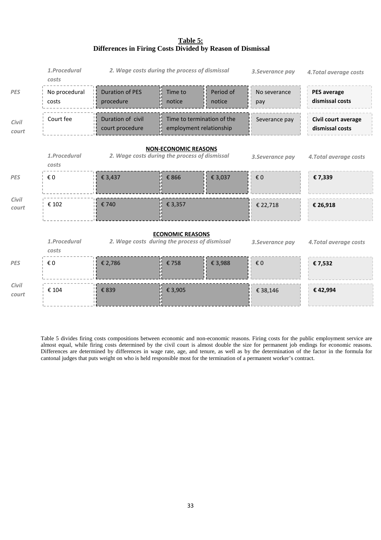# **Table 5: Differences in Firing Costs Divided by Reason of Dismissal**

|                | 1.Procedural<br>costs                                                                                                                               | 2. Wage costs during the process of dismissal |                                                       |                     | 3. Severance pay    | 4. Total average costs                 |  |  |
|----------------|-----------------------------------------------------------------------------------------------------------------------------------------------------|-----------------------------------------------|-------------------------------------------------------|---------------------|---------------------|----------------------------------------|--|--|
| <b>PES</b>     | No procedural<br>costs                                                                                                                              | <b>Duration of PES</b><br>procedure           | Time to<br>notice                                     | Period of<br>notice | No severance<br>pay | <b>PES</b> average<br>dismissal costs  |  |  |
| Civil<br>court | Court fee                                                                                                                                           | Duration of civil<br>court procedure          | Time to termination of the<br>employment relationship |                     | Severance pay       | Civil court average<br>dismissal costs |  |  |
|                | <b>NON-ECONOMIC REASONS</b><br>1.Procedural<br>2. Wage costs during the process of dismissal<br>4. Total average costs<br>3. Severance pay<br>costs |                                               |                                                       |                     |                     |                                        |  |  |
| <b>PES</b>     | € 0                                                                                                                                                 | € 3,437                                       | € 866                                                 | € 3,037             | € 0                 | € 7,339                                |  |  |
| Civil<br>court | € 102                                                                                                                                               | € 740                                         | € 3,357                                               |                     | € 22,718            | € 26,918                               |  |  |
|                | <b>ECONOMIC REASONS</b><br>1.Procedural<br>2. Wage costs during the process of dismissal<br>4. Total average costs<br>3. Severance pay<br>costs     |                                               |                                                       |                     |                     |                                        |  |  |
| <b>PES</b>     | € 0                                                                                                                                                 | € 2,786                                       | €758                                                  | € 3,988             | € 0                 | €7,532                                 |  |  |
| Civil<br>court | € 104                                                                                                                                               | € 839                                         | € 3,905                                               |                     | € 38,146            | €42,994                                |  |  |

Table 5 divides firing costs compositions between economic and non-economic reasons. Firing costs for the public employment service are almost equal, while firing costs determined by the civil court is almost double the size for permanent job endings for economic reasons. Differences are determined by differences in wage rate, age, and tenure, as well as by the determination of the factor in the formula for cantonal judges that puts weight on who is held responsible most for the termination of a permanent worker's contract.